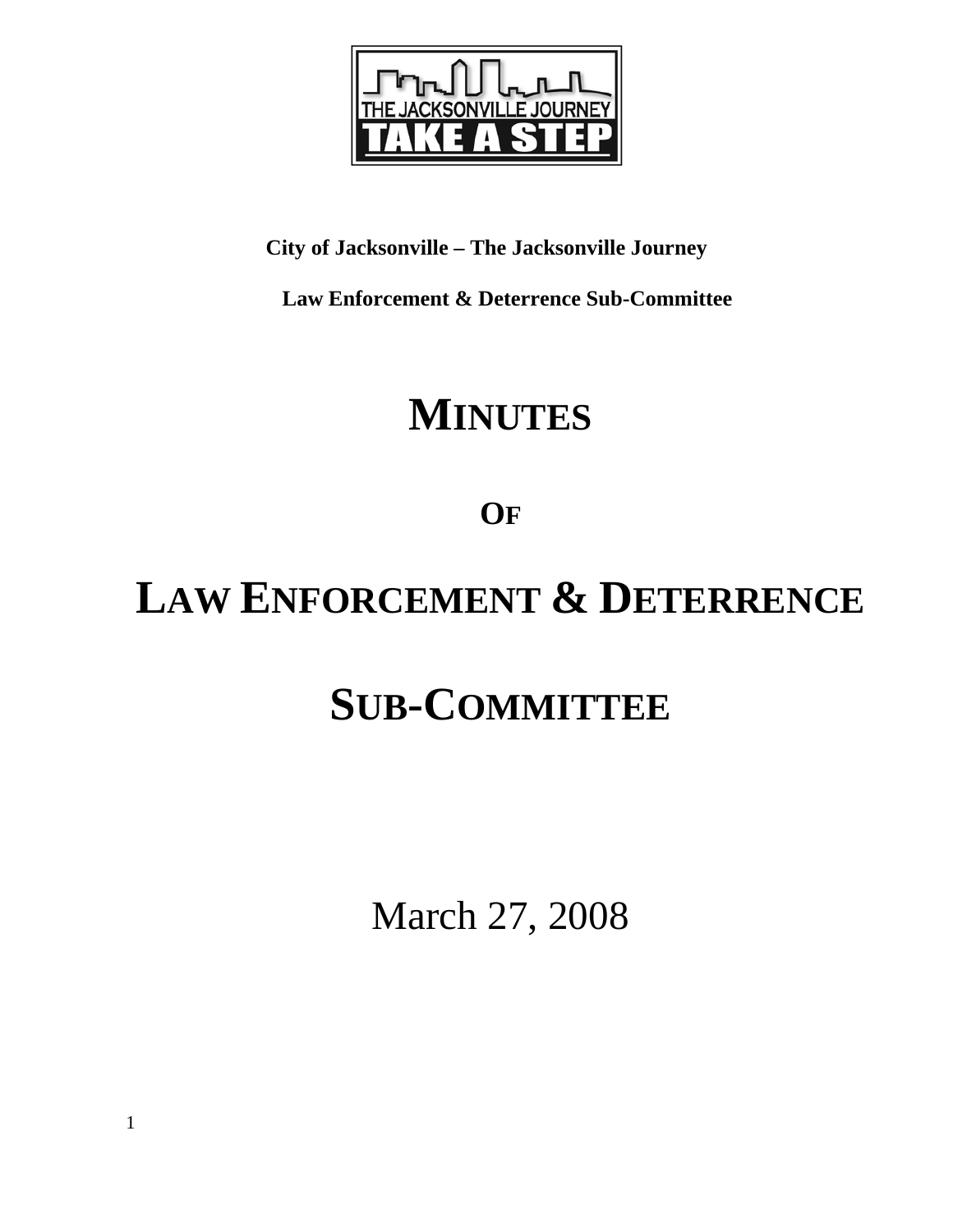

## **City of Jacksonville – The Jacksonville Journey**

 **Law Enforcement & Deterrence Sub-Committee** 

# **MINUTES**

**OF**

# **LAW ENFORCEMENT & DETERRENCE**

# **SUB-COMMITTEE**

March 27, 2008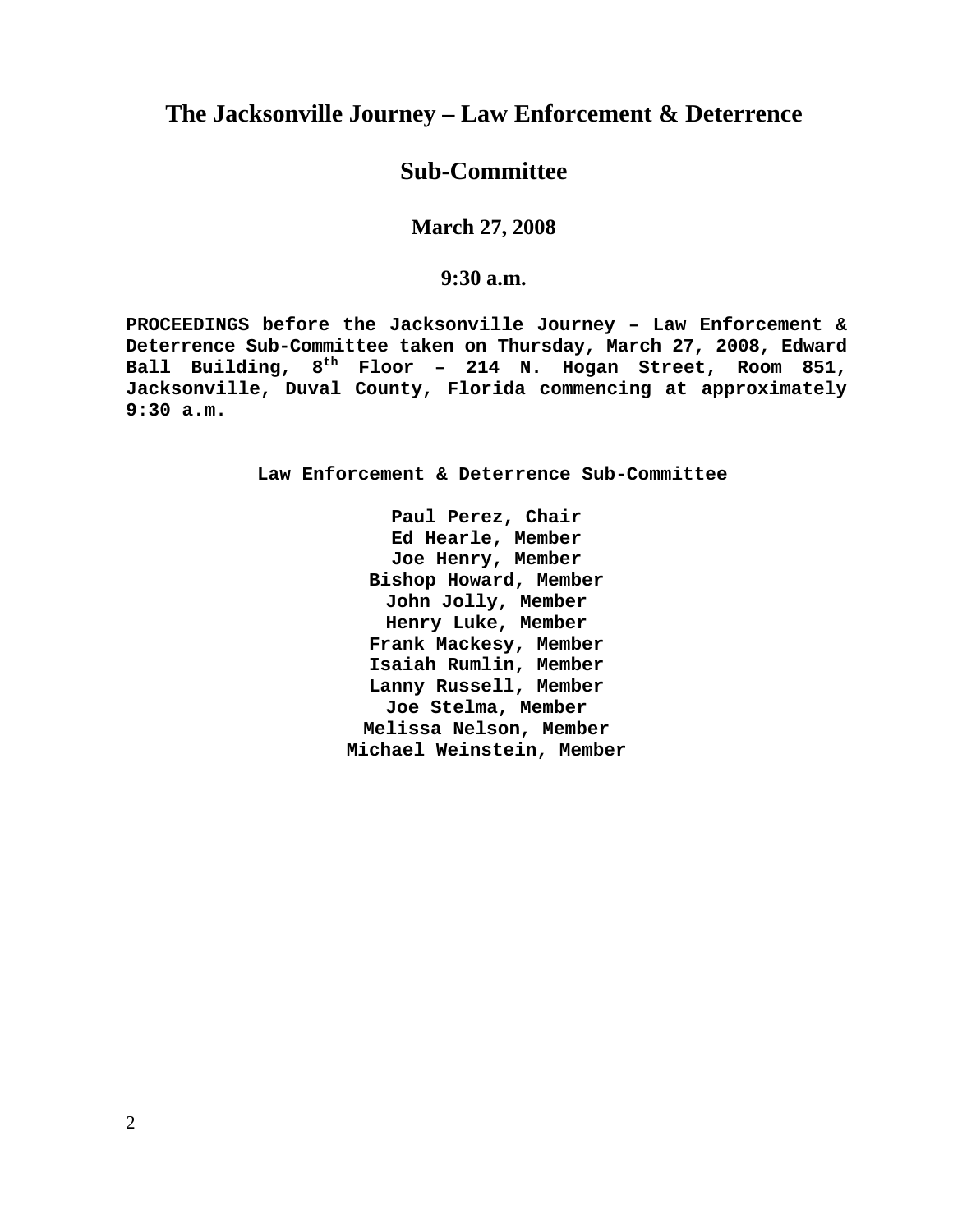## **The Jacksonville Journey – Law Enforcement & Deterrence**

### **Sub-Committee**

**March 27, 2008** 

### **9:30 a.m.**

**PROCEEDINGS before the Jacksonville Journey – Law Enforcement & Deterrence Sub-Committee taken on Thursday, March 27, 2008, Edward Ball Building, 8th Floor – 214 N. Hogan Street, Room 851, Jacksonville, Duval County, Florida commencing at approximately 9:30 a.m.** 

**Law Enforcement & Deterrence Sub-Committee** 

**Paul Perez, Chair Ed Hearle, Member Joe Henry, Member Bishop Howard, Member John Jolly, Member Henry Luke, Member Frank Mackesy, Member Isaiah Rumlin, Member Lanny Russell, Member Joe Stelma, Member Melissa Nelson, Member Michael Weinstein, Member**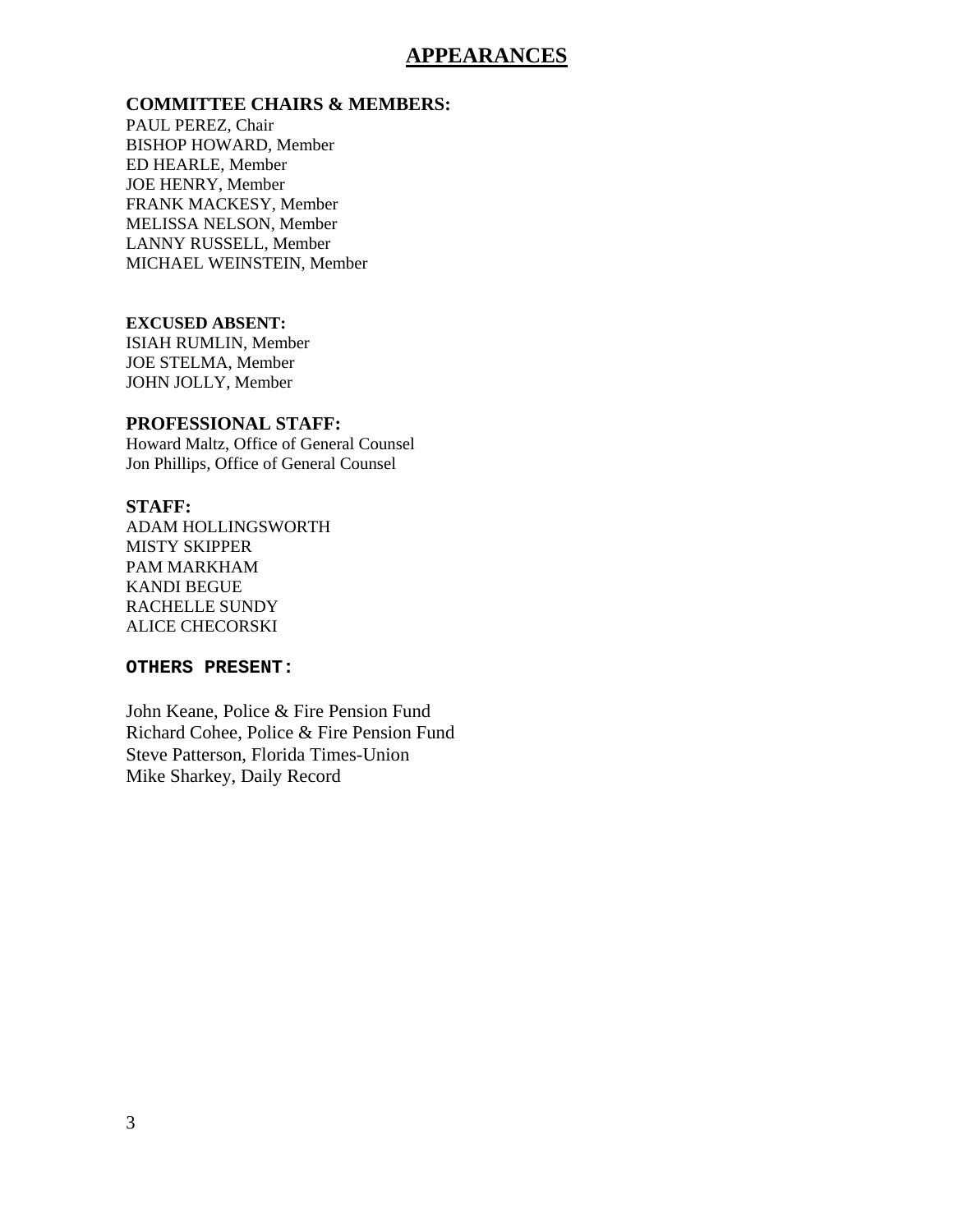### **APPEARANCES**

#### **COMMITTEE CHAIRS & MEMBERS:**

PAUL PEREZ, Chair BISHOP HOWARD, Member ED HEARLE, Member JOE HENRY, Member FRANK MACKESY, Member MELISSA NELSON, Member LANNY RUSSELL, Member MICHAEL WEINSTEIN, Member

#### **EXCUSED ABSENT:**

ISIAH RUMLIN, Member JOE STELMA, Member JOHN JOLLY, Member

#### **PROFESSIONAL STAFF:**

Howard Maltz, Office of General Counsel Jon Phillips, Office of General Counsel

#### **STAFF:**

ADAM HOLLINGSWORTH MISTY SKIPPER PAM MARKHAM KANDI BEGUE RACHELLE SUNDY ALICE CHECORSKI

#### **OTHERS PRESENT:**

John Keane, Police & Fire Pension Fund Richard Cohee, Police & Fire Pension Fund Steve Patterson, Florida Times-Union Mike Sharkey, Daily Record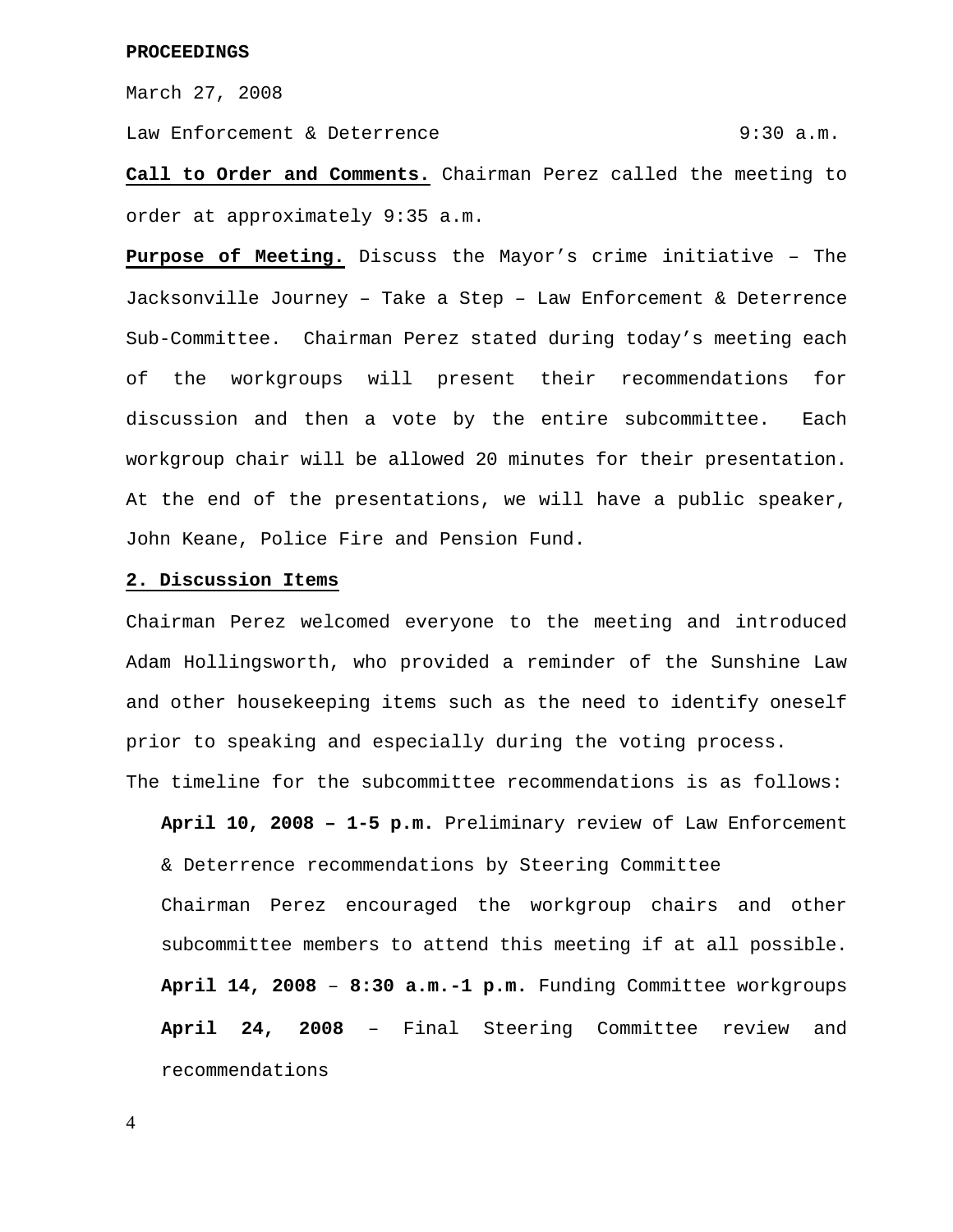March 27, 2008

Law Enforcement & Deterrence  $9:30$  a.m.

**Call to Order and Comments.** Chairman Perez called the meeting to order at approximately 9:35 a.m.

**Purpose of Meeting.** Discuss the Mayor's crime initiative – The Jacksonville Journey – Take a Step – Law Enforcement & Deterrence Sub-Committee. Chairman Perez stated during today's meeting each of the workgroups will present their recommendations for discussion and then a vote by the entire subcommittee. Each workgroup chair will be allowed 20 minutes for their presentation. At the end of the presentations, we will have a public speaker, John Keane, Police Fire and Pension Fund.

#### **2. Discussion Items**

Chairman Perez welcomed everyone to the meeting and introduced Adam Hollingsworth, who provided a reminder of the Sunshine Law and other housekeeping items such as the need to identify oneself prior to speaking and especially during the voting process.

The timeline for the subcommittee recommendations is as follows:

**April 10, 2008 – 1-5 p.m.** Preliminary review of Law Enforcement & Deterrence recommendations by Steering Committee Chairman Perez encouraged the workgroup chairs and other subcommittee members to attend this meeting if at all possible. **April 14, 2008** – **8:30 a.m.-1 p.m.** Funding Committee workgroups **April 24, 2008** – Final Steering Committee review and recommendations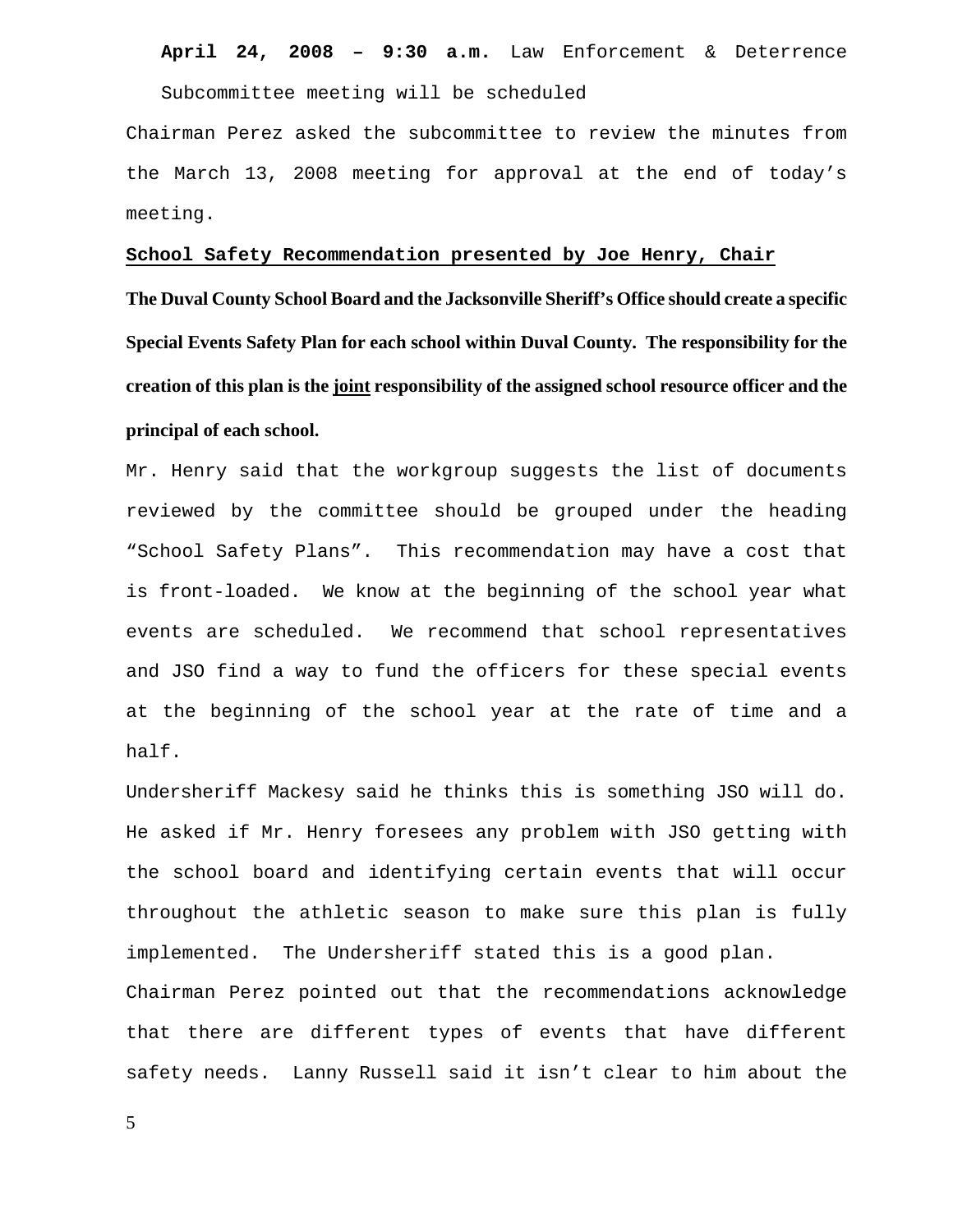#### **April 24, 2008 – 9:30 a.m.** Law Enforcement & Deterrence

Subcommittee meeting will be scheduled

Chairman Perez asked the subcommittee to review the minutes from the March 13, 2008 meeting for approval at the end of today's meeting.

#### **School Safety Recommendation presented by Joe Henry, Chair**

**The Duval County School Board and the Jacksonville Sheriff's Office should create a specific Special Events Safety Plan for each school within Duval County. The responsibility for the creation of this plan is the joint responsibility of the assigned school resource officer and the principal of each school.** 

Mr. Henry said that the workgroup suggests the list of documents reviewed by the committee should be grouped under the heading "School Safety Plans". This recommendation may have a cost that is front-loaded. We know at the beginning of the school year what events are scheduled. We recommend that school representatives and JSO find a way to fund the officers for these special events at the beginning of the school year at the rate of time and a half.

Undersheriff Mackesy said he thinks this is something JSO will do. He asked if Mr. Henry foresees any problem with JSO getting with the school board and identifying certain events that will occur throughout the athletic season to make sure this plan is fully implemented. The Undersheriff stated this is a good plan. Chairman Perez pointed out that the recommendations acknowledge that there are different types of events that have different safety needs. Lanny Russell said it isn't clear to him about the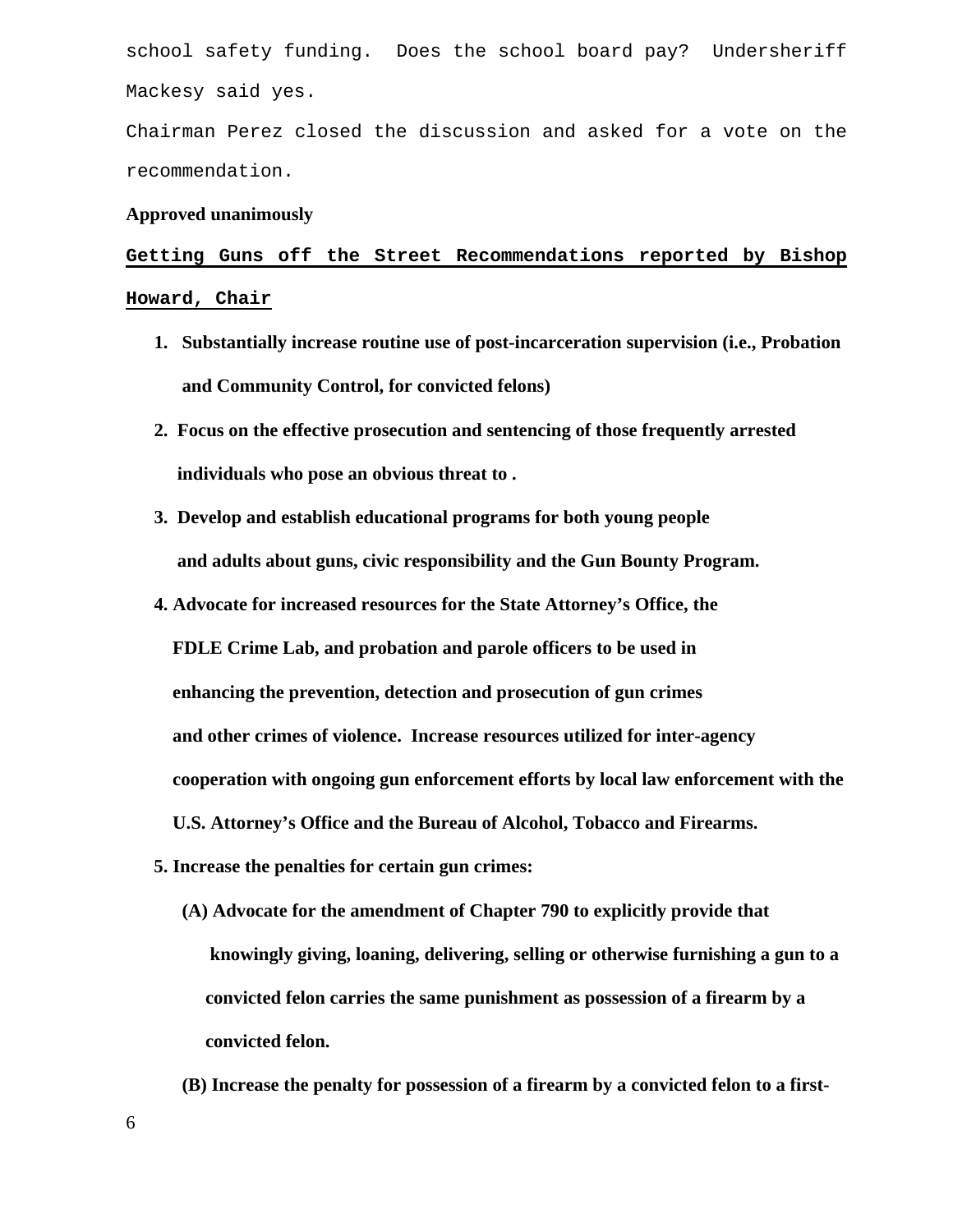school safety funding. Does the school board pay? Undersheriff Mackesy said yes.

Chairman Perez closed the discussion and asked for a vote on the recommendation.

#### **Approved unanimously**

**Getting Guns off the Street Recommendations reported by Bishop Howard, Chair**

- **1. Substantially increase routine use of post-incarceration supervision (i.e., Probation and Community Control, for convicted felons)**
- **2. Focus on the effective prosecution and sentencing of those frequently arrested individuals who pose an obvious threat to .**
- **3. Develop and establish educational programs for both young people and adults about guns, civic responsibility and the Gun Bounty Program.**
- **4. Advocate for increased resources for the State Attorney's Office, the FDLE Crime Lab, and probation and parole officers to be used in enhancing the prevention, detection and prosecution of gun crimes and other crimes of violence. Increase resources utilized for inter-agency cooperation with ongoing gun enforcement efforts by local law enforcement with the U.S. Attorney's Office and the Bureau of Alcohol, Tobacco and Firearms.**
- **5. Increase the penalties for certain gun crimes:** 
	- **(A) Advocate for the amendment of Chapter 790 to explicitly provide that knowingly giving, loaning, delivering, selling or otherwise furnishing a gun to a convicted felon carries the same punishment as possession of a firearm by a convicted felon.**
	- **(B) Increase the penalty for possession of a firearm by a convicted felon to a first-**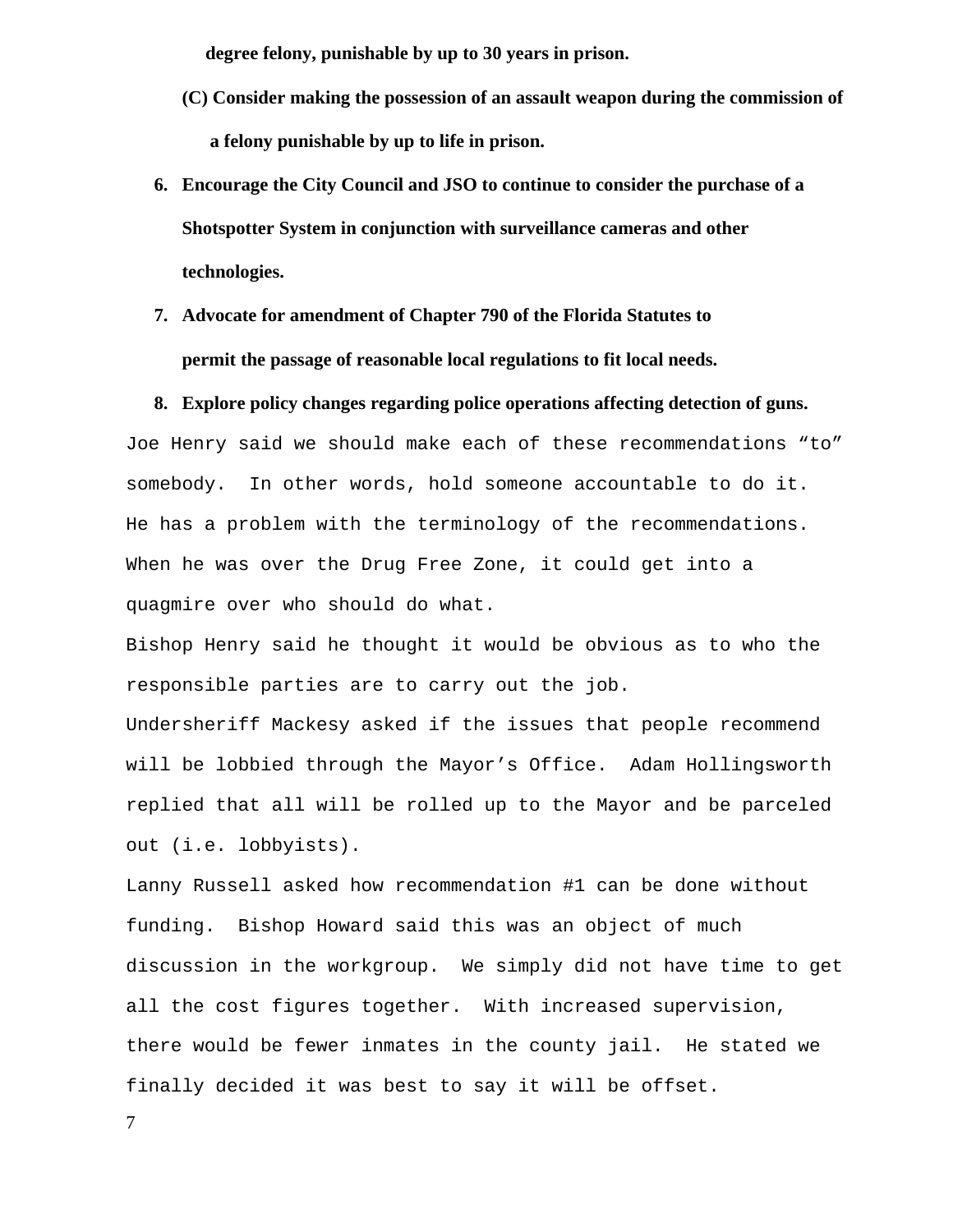**degree felony, punishable by up to 30 years in prison.** 

- **(C) Consider making the possession of an assault weapon during the commission of a felony punishable by up to life in prison.**
- **6. Encourage the City Council and JSO to continue to consider the purchase of a Shotspotter System in conjunction with surveillance cameras and other technologies.**
- **7. Advocate for amendment of Chapter 790 of the Florida Statutes to permit the passage of reasonable local regulations to fit local needs.**

#### **8. Explore policy changes regarding police operations affecting detection of guns.**

Joe Henry said we should make each of these recommendations "to" somebody. In other words, hold someone accountable to do it. He has a problem with the terminology of the recommendations. When he was over the Drug Free Zone, it could get into a quagmire over who should do what.

Bishop Henry said he thought it would be obvious as to who the responsible parties are to carry out the job.

Undersheriff Mackesy asked if the issues that people recommend will be lobbied through the Mayor's Office. Adam Hollingsworth replied that all will be rolled up to the Mayor and be parceled out (i.e. lobbyists).

Lanny Russell asked how recommendation #1 can be done without funding. Bishop Howard said this was an object of much discussion in the workgroup. We simply did not have time to get all the cost figures together. With increased supervision, there would be fewer inmates in the county jail. He stated we finally decided it was best to say it will be offset.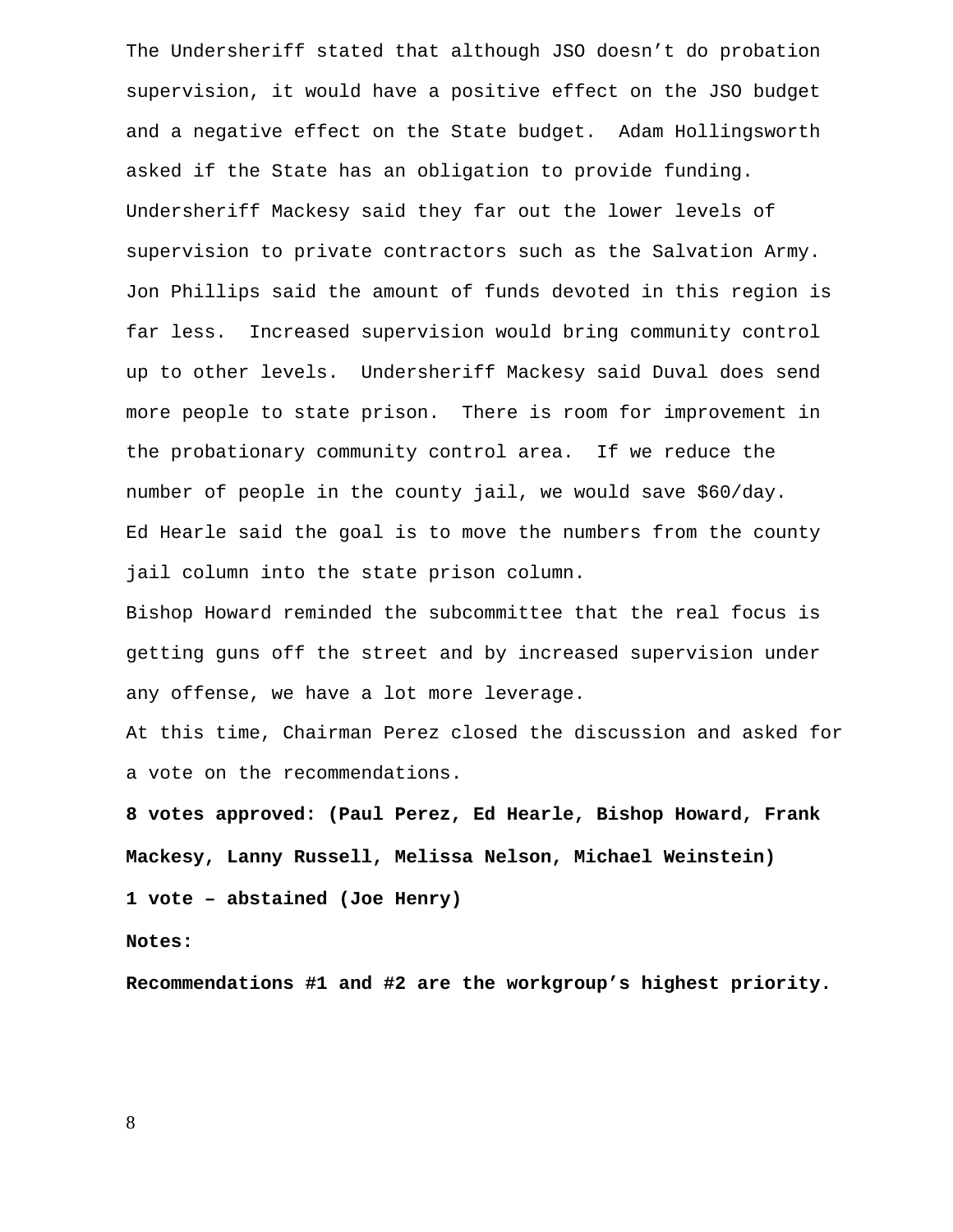The Undersheriff stated that although JSO doesn't do probation supervision, it would have a positive effect on the JSO budget and a negative effect on the State budget. Adam Hollingsworth asked if the State has an obligation to provide funding. Undersheriff Mackesy said they far out the lower levels of supervision to private contractors such as the Salvation Army. Jon Phillips said the amount of funds devoted in this region is far less. Increased supervision would bring community control up to other levels. Undersheriff Mackesy said Duval does send more people to state prison. There is room for improvement in the probationary community control area. If we reduce the number of people in the county jail, we would save \$60/day. Ed Hearle said the goal is to move the numbers from the county jail column into the state prison column.

Bishop Howard reminded the subcommittee that the real focus is getting guns off the street and by increased supervision under any offense, we have a lot more leverage.

At this time, Chairman Perez closed the discussion and asked for a vote on the recommendations.

**8 votes approved: (Paul Perez, Ed Hearle, Bishop Howard, Frank Mackesy, Lanny Russell, Melissa Nelson, Michael Weinstein)** 

**1 vote – abstained (Joe Henry)** 

**Notes:** 

**Recommendations #1 and #2 are the workgroup's highest priority.**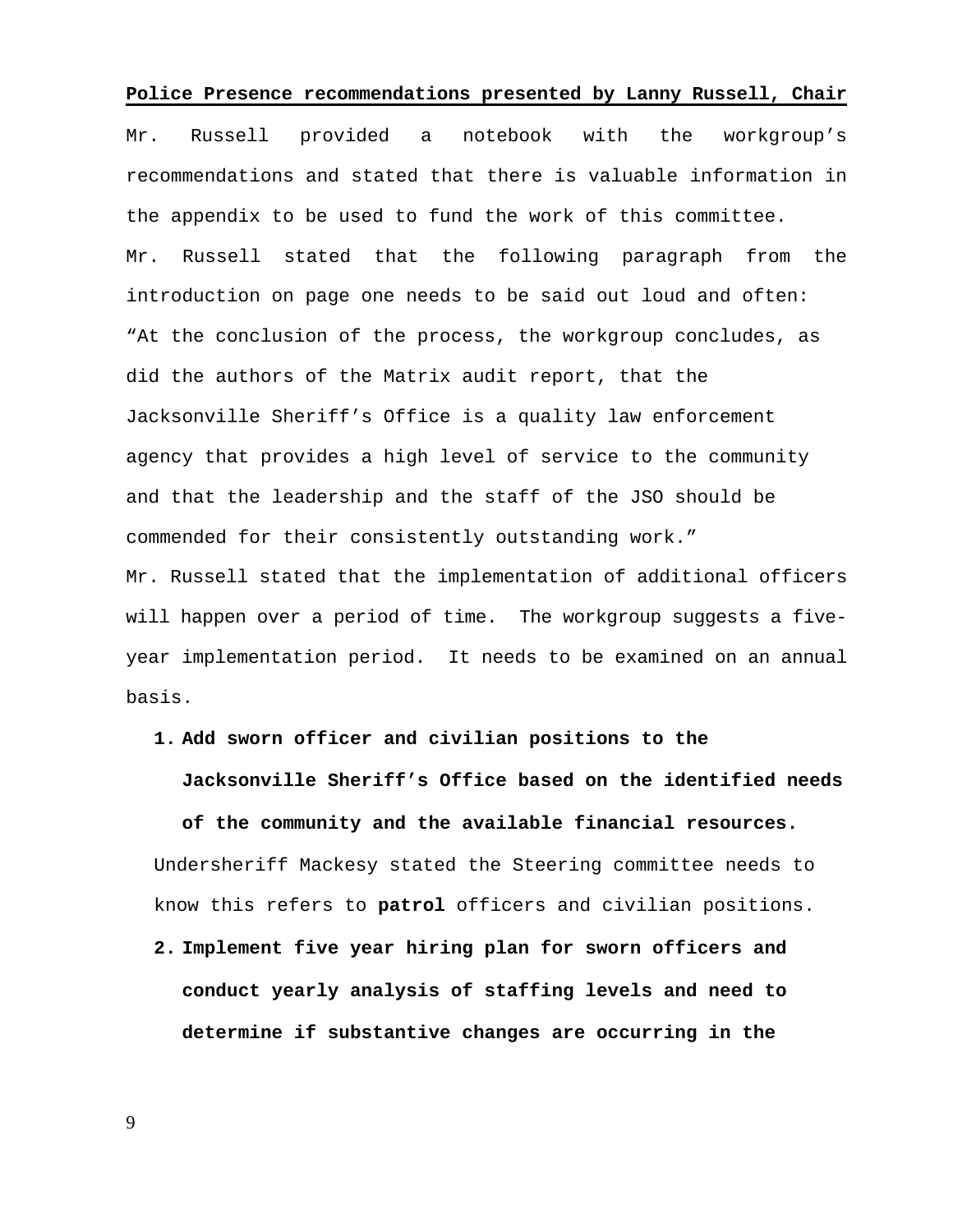#### **Police Presence recommendations presented by Lanny Russell, Chair**

Mr. Russell provided a notebook with the workgroup's recommendations and stated that there is valuable information in the appendix to be used to fund the work of this committee. Mr. Russell stated that the following paragraph from the introduction on page one needs to be said out loud and often: "At the conclusion of the process, the workgroup concludes, as did the authors of the Matrix audit report, that the Jacksonville Sheriff's Office is a quality law enforcement agency that provides a high level of service to the community and that the leadership and the staff of the JSO should be commended for their consistently outstanding work." Mr. Russell stated that the implementation of additional officers

will happen over a period of time. The workgroup suggests a fiveyear implementation period. It needs to be examined on an annual basis.

#### **1. Add sworn officer and civilian positions to the**

#### **Jacksonville Sheriff's Office based on the identified needs**

**of the community and the available financial resources.**  Undersheriff Mackesy stated the Steering committee needs to know this refers to **patrol** officers and civilian positions.

**2. Implement five year hiring plan for sworn officers and conduct yearly analysis of staffing levels and need to determine if substantive changes are occurring in the**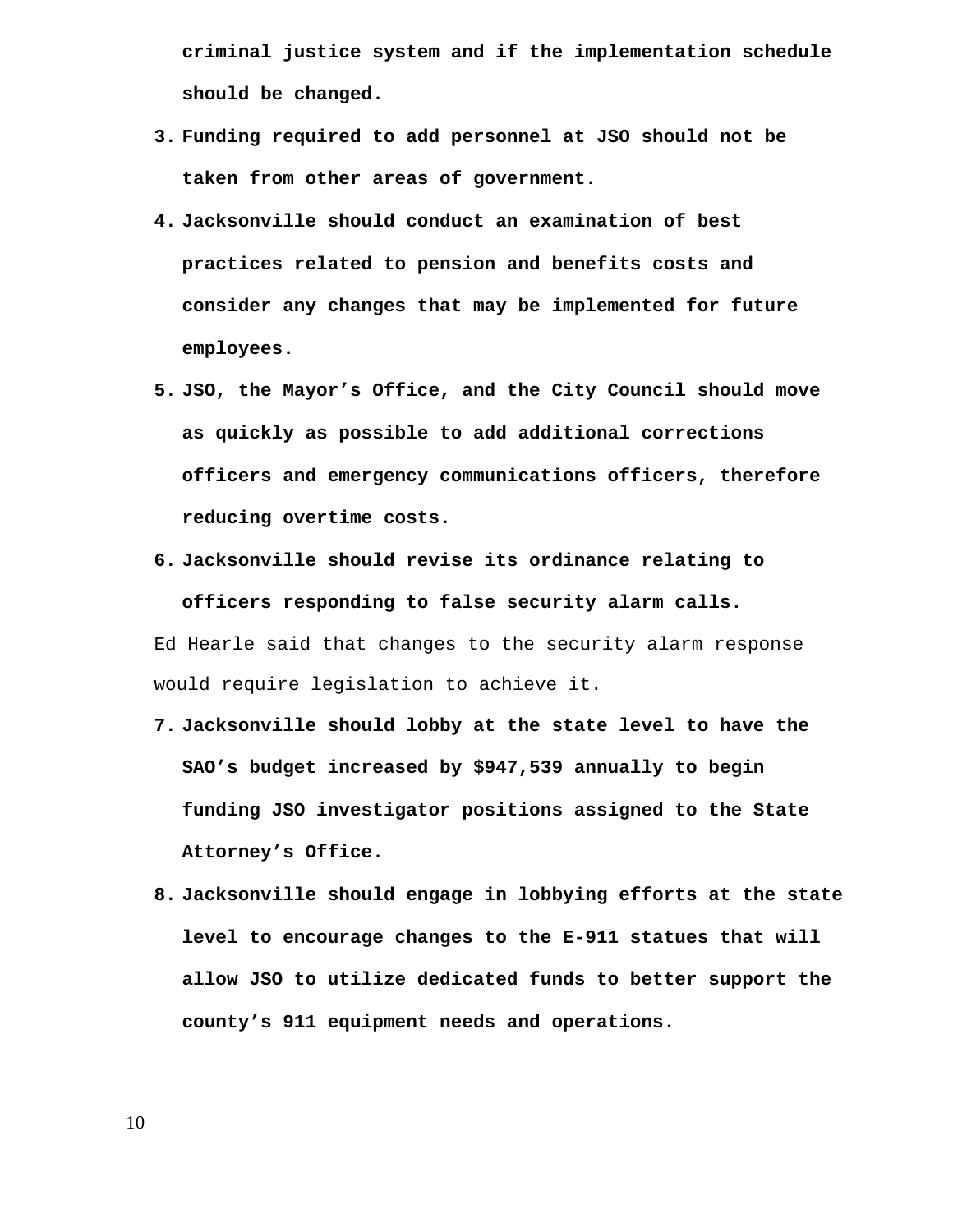**criminal justice system and if the implementation schedule should be changed.** 

- **3. Funding required to add personnel at JSO should not be taken from other areas of government.**
- **4. Jacksonville should conduct an examination of best practices related to pension and benefits costs and consider any changes that may be implemented for future employees.**
- **5. JSO, the Mayor's Office, and the City Council should move as quickly as possible to add additional corrections officers and emergency communications officers, therefore reducing overtime costs.**

**6. Jacksonville should revise its ordinance relating to officers responding to false security alarm calls.**  Ed Hearle said that changes to the security alarm response

would require legislation to achieve it.

- **7. Jacksonville should lobby at the state level to have the SAO's budget increased by \$947,539 annually to begin funding JSO investigator positions assigned to the State Attorney's Office.**
- **8. Jacksonville should engage in lobbying efforts at the state level to encourage changes to the E-911 statues that will allow JSO to utilize dedicated funds to better support the county's 911 equipment needs and operations.**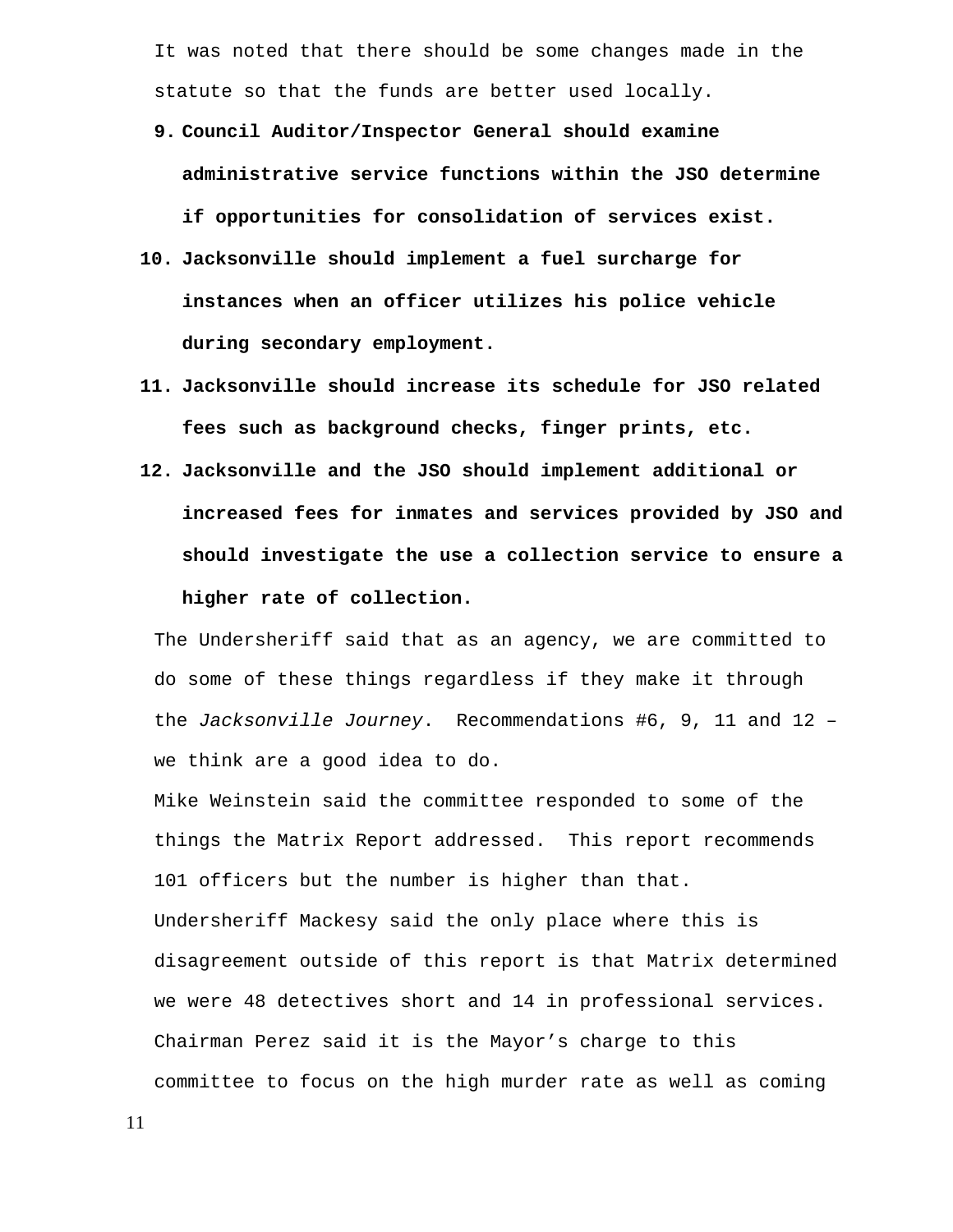It was noted that there should be some changes made in the statute so that the funds are better used locally.

- **9. Council Auditor/Inspector General should examine administrative service functions within the JSO determine if opportunities for consolidation of services exist.**
- **10. Jacksonville should implement a fuel surcharge for instances when an officer utilizes his police vehicle during secondary employment.**
- **11. Jacksonville should increase its schedule for JSO related fees such as background checks, finger prints, etc.**
- **12. Jacksonville and the JSO should implement additional or increased fees for inmates and services provided by JSO and should investigate the use a collection service to ensure a higher rate of collection.**

The Undersheriff said that as an agency, we are committed to do some of these things regardless if they make it through the *Jacksonville Journey*. Recommendations #6, 9, 11 and 12 – we think are a good idea to do.

Mike Weinstein said the committee responded to some of the things the Matrix Report addressed. This report recommends 101 officers but the number is higher than that. Undersheriff Mackesy said the only place where this is disagreement outside of this report is that Matrix determined we were 48 detectives short and 14 in professional services. Chairman Perez said it is the Mayor's charge to this committee to focus on the high murder rate as well as coming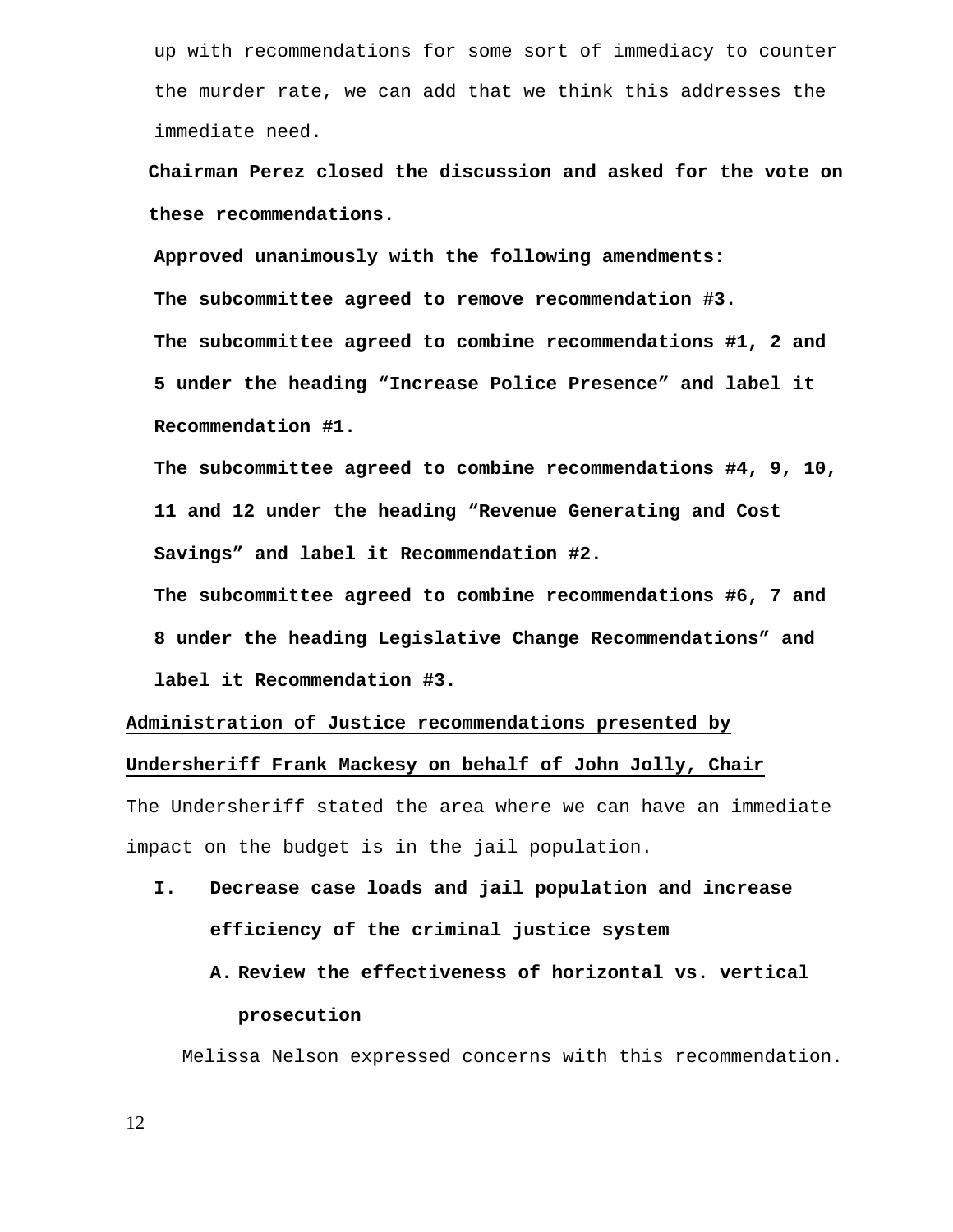up with recommendations for some sort of immediacy to counter the murder rate, we can add that we think this addresses the immediate need.

 **Chairman Perez closed the discussion and asked for the vote on these recommendations.** 

**Approved unanimously with the following amendments: The subcommittee agreed to remove recommendation #3. The subcommittee agreed to combine recommendations #1, 2 and 5 under the heading "Increase Police Presence" and label it Recommendation #1.** 

**The subcommittee agreed to combine recommendations #4, 9, 10, 11 and 12 under the heading "Revenue Generating and Cost Savings" and label it Recommendation #2.** 

**The subcommittee agreed to combine recommendations #6, 7 and 8 under the heading Legislative Change Recommendations" and label it Recommendation #3.** 

#### **Administration of Justice recommendations presented by**

#### **Undersheriff Frank Mackesy on behalf of John Jolly, Chair**

The Undersheriff stated the area where we can have an immediate impact on the budget is in the jail population.

**I. Decrease case loads and jail population and increase efficiency of the criminal justice system** 

# **A. Review the effectiveness of horizontal vs. vertical prosecution**

Melissa Nelson expressed concerns with this recommendation.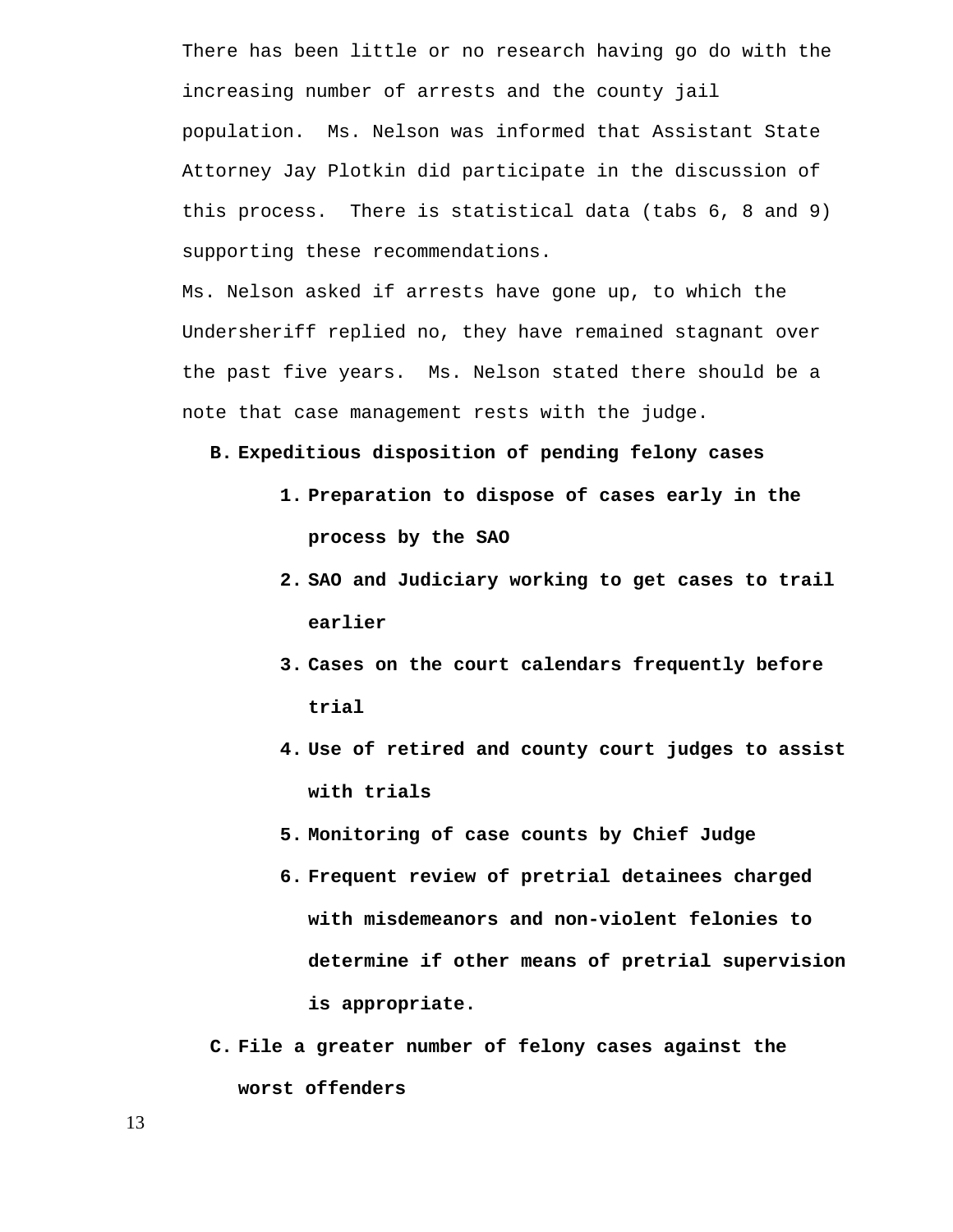There has been little or no research having go do with the increasing number of arrests and the county jail population. Ms. Nelson was informed that Assistant State Attorney Jay Plotkin did participate in the discussion of this process. There is statistical data (tabs 6, 8 and 9) supporting these recommendations.

Ms. Nelson asked if arrests have gone up, to which the Undersheriff replied no, they have remained stagnant over the past five years. Ms. Nelson stated there should be a note that case management rests with the judge.

**B. Expeditious disposition of pending felony cases** 

- **1. Preparation to dispose of cases early in the process by the SAO**
- **2. SAO and Judiciary working to get cases to trail earlier**
- **3. Cases on the court calendars frequently before trial**
- **4. Use of retired and county court judges to assist with trials**
- **5. Monitoring of case counts by Chief Judge**
- **6. Frequent review of pretrial detainees charged with misdemeanors and non-violent felonies to determine if other means of pretrial supervision is appropriate.**
- **C. File a greater number of felony cases against the worst offenders**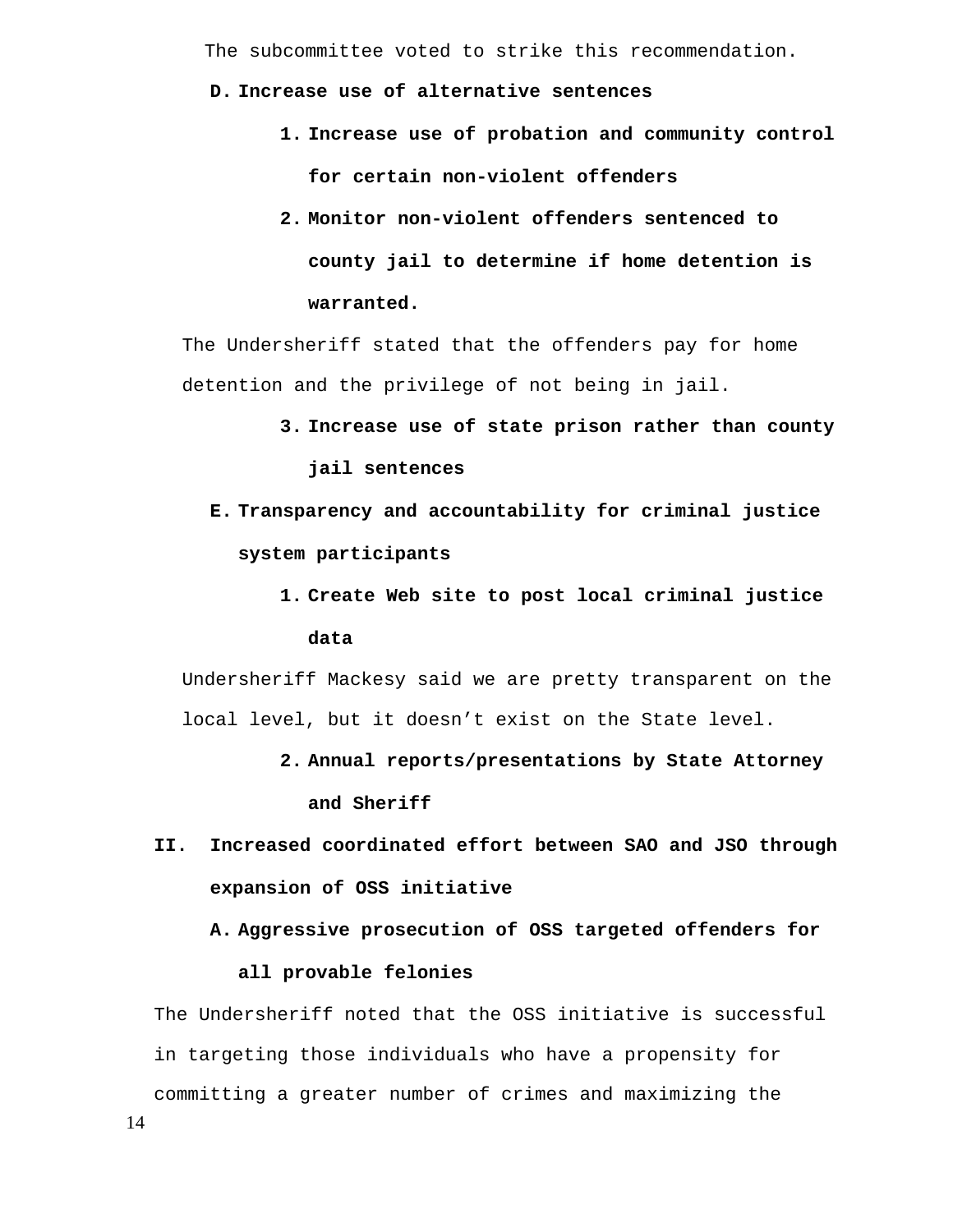The subcommittee voted to strike this recommendation.

#### **D. Increase use of alternative sentences**

- **1. Increase use of probation and community control for certain non-violent offenders**
- **2. Monitor non-violent offenders sentenced to county jail to determine if home detention is warranted.**

The Undersheriff stated that the offenders pay for home detention and the privilege of not being in jail.

- **3. Increase use of state prison rather than county jail sentences**
- **E. Transparency and accountability for criminal justice system participants** 
	- **1. Create Web site to post local criminal justice data**

Undersheriff Mackesy said we are pretty transparent on the local level, but it doesn't exist on the State level.

- **2. Annual reports/presentations by State Attorney and Sheriff**
- **II. Increased coordinated effort between SAO and JSO through expansion of OSS initiative** 
	- **A. Aggressive prosecution of OSS targeted offenders for**

#### **all provable felonies**

The Undersheriff noted that the OSS initiative is successful in targeting those individuals who have a propensity for committing a greater number of crimes and maximizing the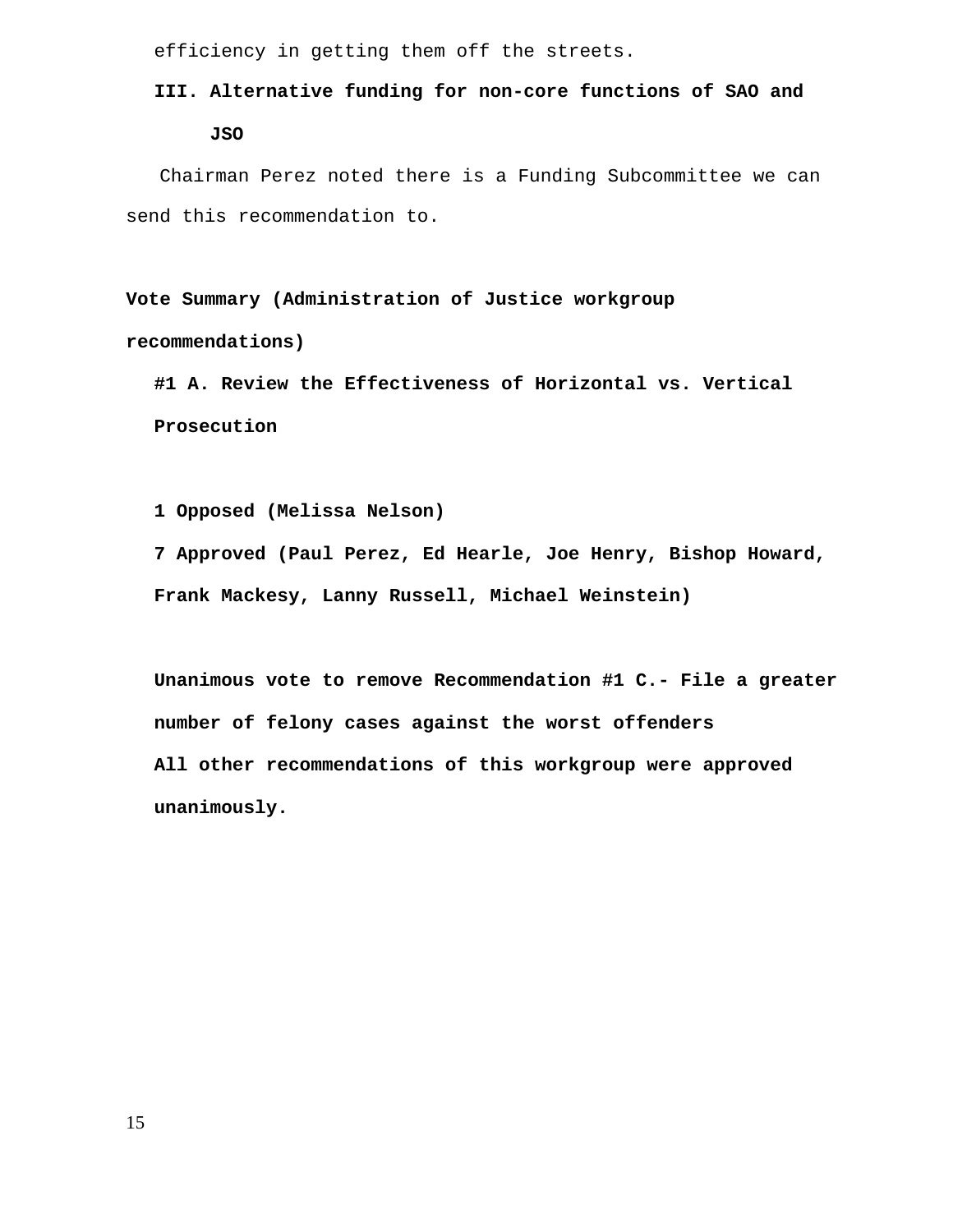efficiency in getting them off the streets.

# **III. Alternative funding for non-core functions of SAO and JSO**

Chairman Perez noted there is a Funding Subcommittee we can send this recommendation to.

**Vote Summary (Administration of Justice workgroup recommendations)** 

**#1 A. Review the Effectiveness of Horizontal vs. Vertical Prosecution** 

**1 Opposed (Melissa Nelson)** 

**7 Approved (Paul Perez, Ed Hearle, Joe Henry, Bishop Howard, Frank Mackesy, Lanny Russell, Michael Weinstein)** 

**Unanimous vote to remove Recommendation #1 C.- File a greater number of felony cases against the worst offenders All other recommendations of this workgroup were approved unanimously.**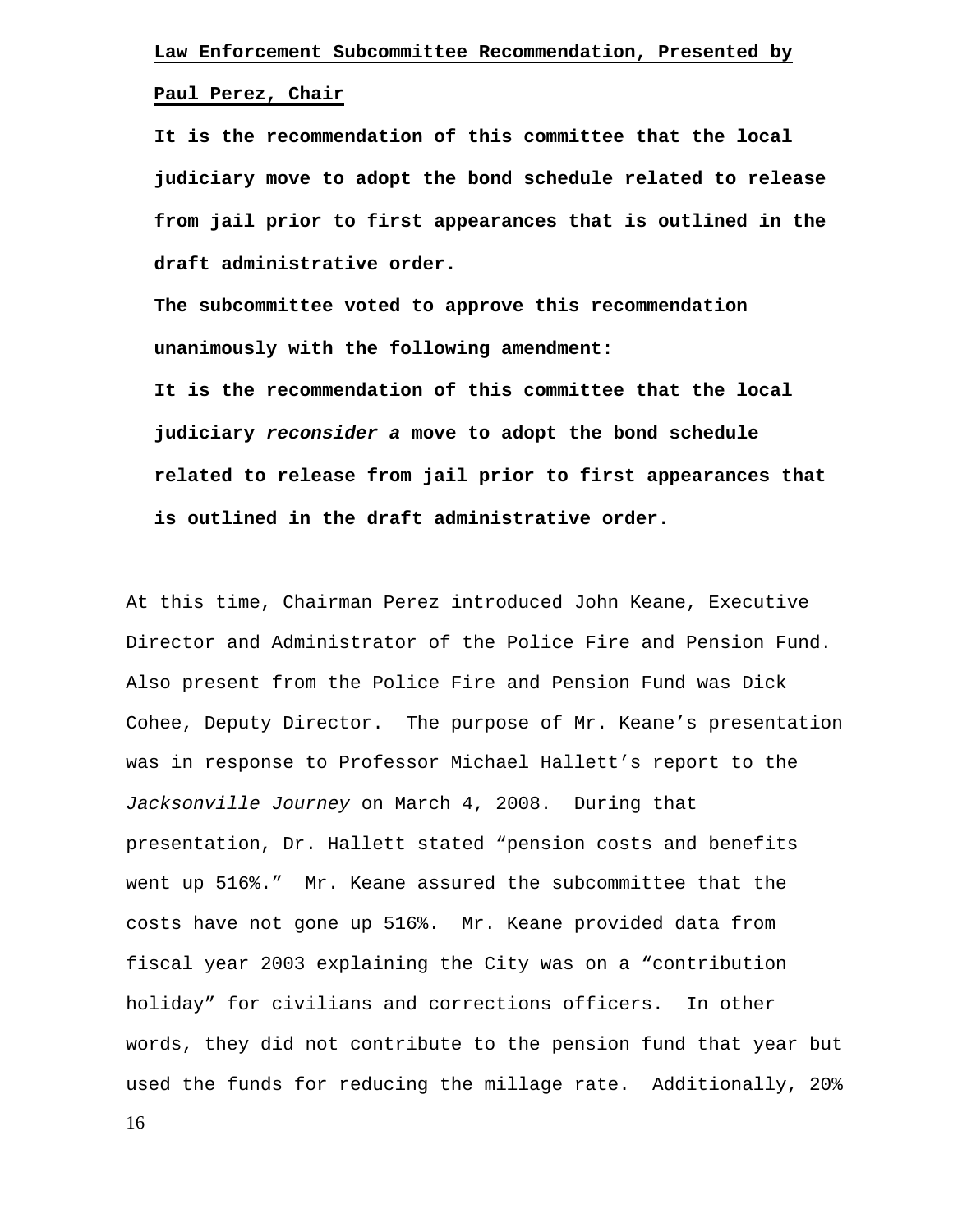#### **Paul Perez, Chair**

**It is the recommendation of this committee that the local judiciary move to adopt the bond schedule related to release from jail prior to first appearances that is outlined in the draft administrative order.** 

**The subcommittee voted to approve this recommendation unanimously with the following amendment: It is the recommendation of this committee that the local judiciary** *reconsider a* **move to adopt the bond schedule related to release from jail prior to first appearances that is outlined in the draft administrative order.** 

At this time, Chairman Perez introduced John Keane, Executive Director and Administrator of the Police Fire and Pension Fund. Also present from the Police Fire and Pension Fund was Dick Cohee, Deputy Director. The purpose of Mr. Keane's presentation was in response to Professor Michael Hallett's report to the *Jacksonville Journey* on March 4, 2008. During that presentation, Dr. Hallett stated "pension costs and benefits went up 516%." Mr. Keane assured the subcommittee that the costs have not gone up 516%. Mr. Keane provided data from fiscal year 2003 explaining the City was on a "contribution holiday" for civilians and corrections officers. In other words, they did not contribute to the pension fund that year but used the funds for reducing the millage rate. Additionally, 20%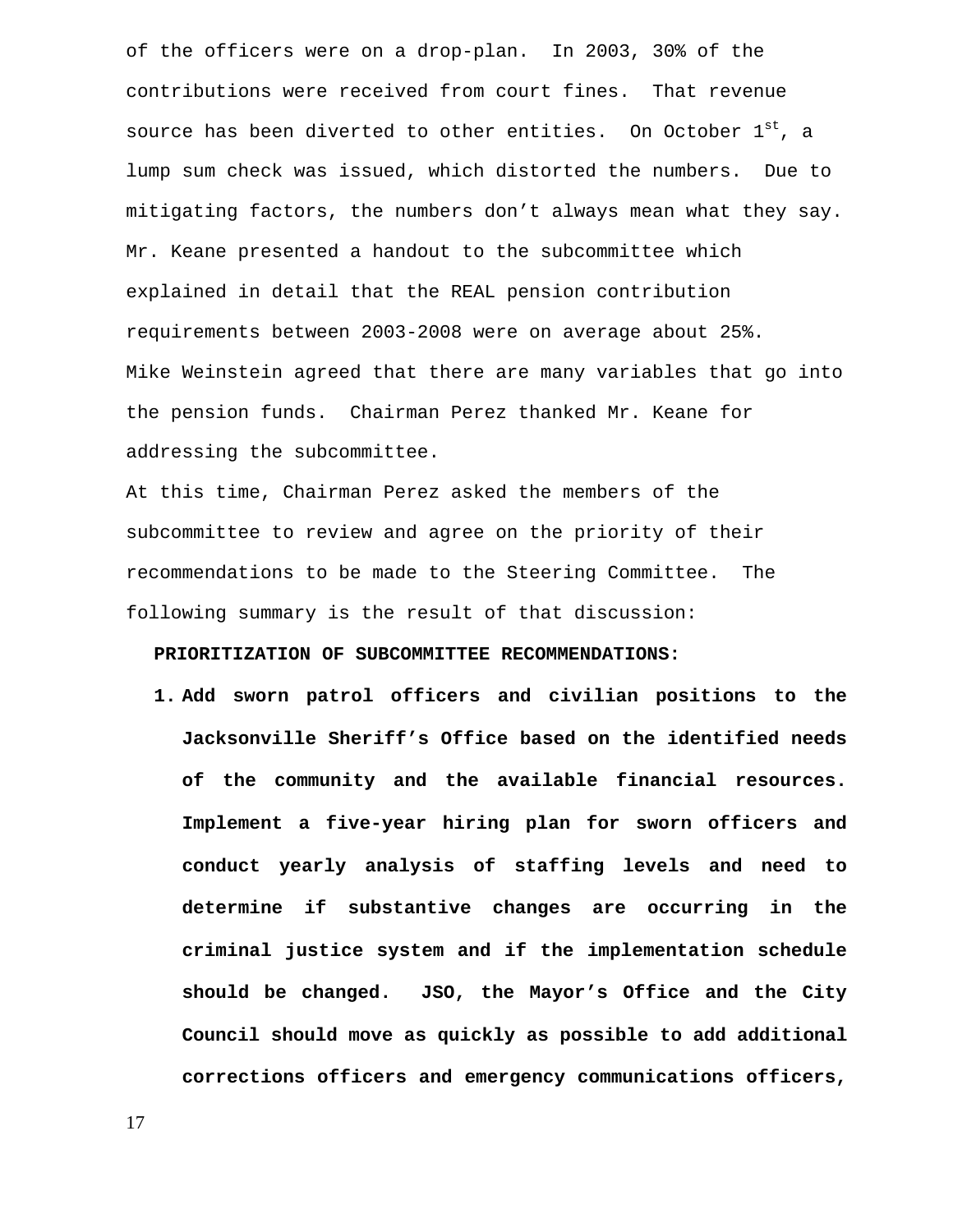of the officers were on a drop-plan. In 2003, 30% of the contributions were received from court fines. That revenue source has been diverted to other entities. On October  $1^{st}$ , a lump sum check was issued, which distorted the numbers. Due to mitigating factors, the numbers don't always mean what they say. Mr. Keane presented a handout to the subcommittee which explained in detail that the REAL pension contribution requirements between 2003-2008 were on average about 25%. Mike Weinstein agreed that there are many variables that go into the pension funds. Chairman Perez thanked Mr. Keane for addressing the subcommittee.

At this time, Chairman Perez asked the members of the subcommittee to review and agree on the priority of their recommendations to be made to the Steering Committee. The following summary is the result of that discussion:

#### **PRIORITIZATION OF SUBCOMMITTEE RECOMMENDATIONS:**

**1. Add sworn patrol officers and civilian positions to the Jacksonville Sheriff's Office based on the identified needs of the community and the available financial resources. Implement a five-year hiring plan for sworn officers and conduct yearly analysis of staffing levels and need to determine if substantive changes are occurring in the criminal justice system and if the implementation schedule should be changed. JSO, the Mayor's Office and the City Council should move as quickly as possible to add additional corrections officers and emergency communications officers,**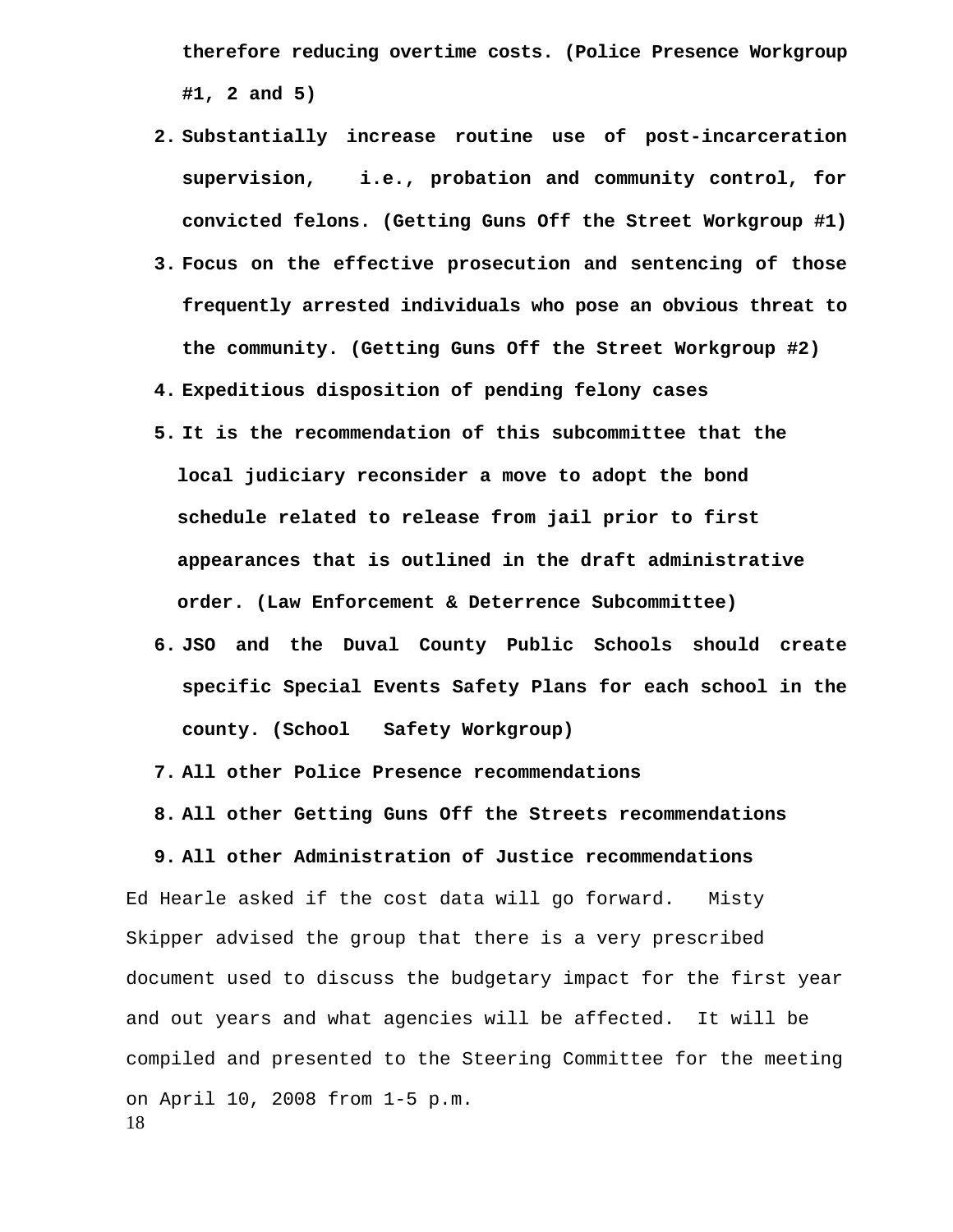**therefore reducing overtime costs. (Police Presence Workgroup #1, 2 and 5)** 

- **2. Substantially increase routine use of post-incarceration supervision, i.e., probation and community control, for convicted felons. (Getting Guns Off the Street Workgroup #1)**
- **3. Focus on the effective prosecution and sentencing of those frequently arrested individuals who pose an obvious threat to the community. (Getting Guns Off the Street Workgroup #2)**
- **4. Expeditious disposition of pending felony cases**
- **5. It is the recommendation of this subcommittee that the local judiciary reconsider a move to adopt the bond schedule related to release from jail prior to first appearances that is outlined in the draft administrative order. (Law Enforcement & Deterrence Subcommittee)**
- **6. JSO and the Duval County Public Schools should create specific Special Events Safety Plans for each school in the county. (School Safety Workgroup)**
- **7. All other Police Presence recommendations**

**8. All other Getting Guns Off the Streets recommendations** 

**9. All other Administration of Justice recommendations** 

18 Ed Hearle asked if the cost data will go forward. Misty Skipper advised the group that there is a very prescribed document used to discuss the budgetary impact for the first year and out years and what agencies will be affected. It will be compiled and presented to the Steering Committee for the meeting on April 10, 2008 from 1-5 p.m.